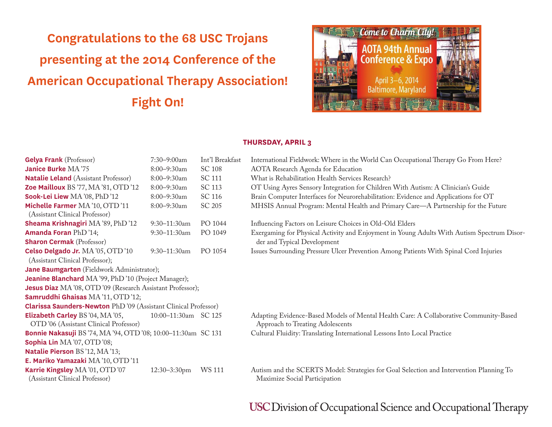# **Congratulations to the 68 USC Trojans presenting at the 2014 Conference of the American Occupational Therapy Association! Fight On!**



#### **THURSDAY, APRIL 3**

| <b>Gelya Frank</b> (Professor)                                                   | $7:30 - 9:00$ am     | Int'l Breakfast | International Fieldwork: Where in the World Can Occupational Therapy Go From Here?                                        |  |  |
|----------------------------------------------------------------------------------|----------------------|-----------------|---------------------------------------------------------------------------------------------------------------------------|--|--|
| Janice Burke MA'75                                                               | 8:00-9:30am          | <b>SC 108</b>   | <b>AOTA</b> Research Agenda for Education                                                                                 |  |  |
| <b>Natalie Leland</b> (Assistant Professor)                                      | 8:00-9:30am          | SC 111          | What is Rehabilitation Health Services Research?                                                                          |  |  |
| Zoe Mailloux BS'77, MA'81, OTD'12                                                | 8:00-9:30am          | SC 113          | OT Using Ayres Sensory Integration for Children With Autism: A Clinician's Guide                                          |  |  |
| Sook-Lei Liew MA '08, PhD '12                                                    | $8:00 - 9:30$ am     | SC 116          | Brain Computer Interfaces for Neurorehabilitation: Evidence and Applications for OT                                       |  |  |
| Michelle Farmer MA'10, OTD'11<br>(Assistant Clinical Professor)                  | 8:00-9:30am          | SC 205          | MHSIS Annual Program: Mental Health and Primary Care—A Partnership for the Future                                         |  |  |
| Sheama Krishnagiri MA '89, PhD '12                                               | $9:30 - 11:30$ am    | PO 1044         | Influencing Factors on Leisure Choices in Old-Old Elders                                                                  |  |  |
| <b>Amanda Foran PhD '14;</b>                                                     | 9:30-11:30am         | PO 1049         | Exergaming for Physical Activity and Enjoyment in Young Adults With Autism Spectrum Disor-                                |  |  |
| <b>Sharon Cermak</b> (Professor)                                                 |                      |                 | der and Typical Development                                                                                               |  |  |
| Celso Delgado Jr. MA'05, OTD'10                                                  | $9:30-11:30$ am      | PO 1054         | Issues Surrounding Pressure Ulcer Prevention Among Patients With Spinal Cord Injuries                                     |  |  |
| (Assistant Clinical Professor);                                                  |                      |                 |                                                                                                                           |  |  |
| Jane Baumgarten (Fieldwork Administrator);                                       |                      |                 |                                                                                                                           |  |  |
| <b>Jeanine Blanchard</b> MA'99, PhD'10 (Project Manager);                        |                      |                 |                                                                                                                           |  |  |
| Jesus Diaz MA '08, OTD '09 (Research Assistant Professor);                       |                      |                 |                                                                                                                           |  |  |
| Samruddhi Ghaisas MA'11, OTD'12;                                                 |                      |                 |                                                                                                                           |  |  |
| <b>Clarissa Saunders-Newton PhD'09 (Assistant Clinical Professor)</b>            |                      |                 |                                                                                                                           |  |  |
| <b>Elizabeth Carley BS '04, MA '05,</b><br>OTD'06 (Assistant Clinical Professor) | 10:00-11:30am SC 125 |                 | Adapting Evidence-Based Models of Mental Health Care: A Collaborative Community-Based<br>Approach to Treating Adolescents |  |  |
| Bonnie Nakasuji BS '74, MA '94, OTD '08; 10:00-11:30am SC 131                    |                      |                 | Cultural Fluidity: Translating International Lessons Into Local Practice                                                  |  |  |
| Sophia Lin MA '07, OTD '08;                                                      |                      |                 |                                                                                                                           |  |  |
| Natalie Pierson BS'12, MA'13;                                                    |                      |                 |                                                                                                                           |  |  |
| E. Mariko Yamazaki MA'10, OTD'11                                                 |                      |                 |                                                                                                                           |  |  |
| Karrie Kingsley MA '01, OTD '07<br>(Assistant Clinical Professor)                | 12:30-3:30pm         | WS 111          | Autism and the SCERTS Model: Strategies for Goal Selection and Intervention Planning To<br>Maximize Social Participation  |  |  |

### **USC Division of Occupational Science and Occupational Therapy**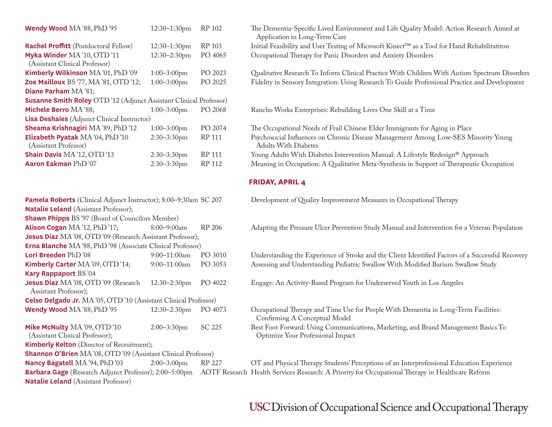| Wendy Wood MA '88, PhD '95                                               | 12:30-1:30pm   | RP 102        | The Dementia-Specific Lived Environment and Life Quality Moo<br>Application in Long-Term Care |
|--------------------------------------------------------------------------|----------------|---------------|-----------------------------------------------------------------------------------------------|
| <b>Rachel Proffitt</b> (Postdoctoral Fellow)                             | 12:30-1:30pm   | RP 103        | Initial Feasibility and User Testing of Microsoft Kinect™ as a Too                            |
| Myka Winder MA'10, OTD'11<br>(Assistant Clinical Professor)              | 12:30-2:30pm   | PO 4065       | Occupational Therapy for Panic Disorders and Anxiety Disorders                                |
| Kimberly Wilkinson MA '01, PhD '09                                       | $1:00-3:00$ pm | PO 2023       | Qualitative Research To Inform Clinical Practice With Children                                |
| <b>Zoe Mailloux</b> BS '77, MA '81, OTD '12;                             | $1:00-3:00$ pm | PO 2025       | Fidelity in Sensory Integration: Using Research To Guide Profess                              |
| Diane Parham MA '81;                                                     |                |               |                                                                                               |
| <b>Susanne Smith Roley</b> OTD'12 (Adjunct Assistant Clinical Professor) |                |               |                                                                                               |
| Michele Berro MA'88;                                                     | $1:00-3:00$ pm | PO 2068       | Rancho Works Enterprises: Rebuilding Lives One Skill at a Time                                |
| <b>Lisa Deshaies</b> (Adjunct Clinical Instructor)                       |                |               |                                                                                               |
| Sheama Krishnagiri MA '89, PhD '12                                       | $1:00-3:00$ pm | PO 2074       | The Occupational Needs of Frail Chinese Elder Immigrants for A                                |
| Elizabeth Pyatak MA '04, PhD '10<br>(Assistant Professor)                | $2:30-3:30$ pm | RP 111        | Psychosocial Influences on Chronic Disease Management Among<br><b>Adults With Diabetes</b>    |
| <b>Shain Davis MA '12, OTD '13</b>                                       | $2:30-3:30$ pm | <b>RP 111</b> | Young Adults With Diabetes Intervention Manual: A Lifestyle R                                 |
| Aaron Eakman PhD '07                                                     | $2:30-3:30$ pm | RP 112        | Meaning in Occupation: A Qualitative Meta-Synthesis in Suppor                                 |
|                                                                          |                |               |                                                                                               |

| Pamela Roberts (Clinical Adjunct Instructor); 8:00-9:30am SC 207 |                   | Development of Quality Improvement Measures in Occupational Therapy |                                                                                                                                               |
|------------------------------------------------------------------|-------------------|---------------------------------------------------------------------|-----------------------------------------------------------------------------------------------------------------------------------------------|
| <b>Natalie Leland</b> (Assistant Professor);                     |                   |                                                                     |                                                                                                                                               |
| <b>Shawn Phipps</b> BS'97 (Board of Councilors Member)           |                   |                                                                     |                                                                                                                                               |
| Alison Cogan MA'12, PhD'17;                                      | $8:00-9:00am$     | RP 206                                                              | Adapting the Pressure Ulcer Prevention Study Manual and Intervention fo                                                                       |
| Jesus Diaz MA'08, OTD'09 (Research Assistant Professor);         |                   |                                                                     |                                                                                                                                               |
| Erna Blanche MA'88, PhD'98 (Associate Clinical Professor)        |                   |                                                                     |                                                                                                                                               |
| Lori Breeden PhD'08                                              | $9:00-11:00am$    | PO 3010                                                             | Understanding the Experience of Stroke and the Client Identified Factors                                                                      |
| Kimberly Carter MA '09, OTD '14;                                 | $9:00-11:00am$    | PO 3053                                                             | Assessing and Understanding Pediatric Swallow With Modified Barium S                                                                          |
| Kary Rappaport BS'04                                             |                   |                                                                     |                                                                                                                                               |
| Jesus Diaz MA '08, OTD '09 (Research<br>Assistant Professor);    | $12:30 - 2:30$ pm | PO 4022                                                             | Engage: An Activity-Based Program for Underserved Youth in Los Angel                                                                          |
| Celso Delgado Jr. MA'05, OTD'10 (Assistant Clinical Professor)   |                   |                                                                     |                                                                                                                                               |
| Wendy Wood MA '88, PhD '95                                       | $12:30 - 2:30$ pm | PO 4073                                                             | Occupational Therapy and Time Use for People With Dementia in Long-<br>Confirming A Conceptual Model                                          |
| Mike McNulty MA '09, OTD '10<br>(Assistant Clinical Professor);  | $2:00-3:30$ pm    | SC 225                                                              | Best Foot Forward: Using Communications, Marketing, and Brand Manag<br>Optimize Your Professional Impact                                      |
| <b>Kimberly Kelton</b> (Director of Recruitment);                |                   |                                                                     |                                                                                                                                               |
| Shannon O'Brien MA'08, OTD'09 (Assistant Clinical Professor)     |                   |                                                                     |                                                                                                                                               |
| Nancy Bagatell MA '94, PhD '03                                   | $2:00-3:00$ pm    | RP 227                                                              | OT and Physical Therapy Students' Perceptions of an Interprofessional Ed                                                                      |
|                                                                  |                   |                                                                     | Barbara Gage (Research Adjunct Professor); 2:00–5:00pm AOTF Research Health Services Research: A Priority for Occupational Therapy in Healtho |
| <b>Natalie Leland</b> (Assistant Professor)                      |                   |                                                                     |                                                                                                                                               |
|                                                                  |                   |                                                                     |                                                                                                                                               |

| Wendy Wood MA'88, PhD'95                                                  | $12:30-1:30$ pm   | RP 102  | The Dementia-Specific Lived Environment and Life Quality Model: Action Research Aimed at<br>Application in Long-Term Care |
|---------------------------------------------------------------------------|-------------------|---------|---------------------------------------------------------------------------------------------------------------------------|
| <b>Rachel Proffitt</b> (Postdoctoral Fellow)                              | $12:30-1:30$ pm   | RP 103  | Initial Feasibility and User Testing of Microsoft Kinect™ as a Tool for Hand Rehabilitatiton                              |
| Myka Winder MA'10, OTD'11<br>(Assistant Clinical Professor)               | $12:30 - 2:30$ pm | PO 4065 | Occupational Therapy for Panic Disorders and Anxiety Disorders                                                            |
| Kimberly Wilkinson MA '01, PhD '09                                        | $1:00-3:00$ pm    | PO 2023 | Qualitative Research To Inform Clinical Practice With Children With Autism Spectrum Disorders                             |
| Zoe Mailloux BS '77, MA '81, OTD '12;                                     | $1:00-3:00$ pm    | PO 2025 | Fidelity in Sensory Integration: Using Research To Guide Professional Practice and Development                            |
| Diane Parham MA'81;                                                       |                   |         |                                                                                                                           |
| <b>Susanne Smith Roley</b> OTD '12 (Adjunct Assistant Clinical Professor) |                   |         |                                                                                                                           |
| Michele Berro MA'88;                                                      | $1:00-3:00$ pm    | PO 2068 | Rancho Works Enterprises: Rebuilding Lives One Skill at a Time                                                            |
| <b>Lisa Deshaies</b> (Adjunct Clinical Instructor)                        |                   |         |                                                                                                                           |
| Sheama Krishnagiri MA '89, PhD '12                                        | $1:00-3:00$ pm    | PO 2074 | The Occupational Needs of Frail Chinese Elder Immigrants for Aging in Place                                               |
| Elizabeth Pyatak MA'04, PhD'10<br>(Assistant Professor)                   | $2:30-3:30$ pm    | RP 111  | Psychosocial Influences on Chronic Disease Management Among Low-SES Minority Young<br><b>Adults With Diabetes</b>         |
| <b>Shain Davis</b> MA'12, OTD'13                                          | $2:30-3:30$ pm    | RP 111  | Young Adults With Diabetes Intervention Manual: A Lifestyle Redesign® Approach                                            |
| <b>Aaron Eakman PhD '07</b>                                               | $2:30-3:30$ pm    | RP 112  | Meaning in Occupation: A Qualitative Meta-Synthesis in Support of Therapeutic Occupation                                  |
|                                                                           |                   |         |                                                                                                                           |

### **FRIDAY, APRIL 4**

| Pamela Roberts (Clinical Adjunct Instructor); 8:00-9:30am SC 207      |                   |         | Development of Quality Improvement Measures in Occupational Therapy                                                     |  |  |
|-----------------------------------------------------------------------|-------------------|---------|-------------------------------------------------------------------------------------------------------------------------|--|--|
| <b>Natalie Leland</b> (Assistant Professor);                          |                   |         |                                                                                                                         |  |  |
| <b>Shawn Phipps</b> BS'97 (Board of Councilors Member)                |                   |         |                                                                                                                         |  |  |
| Alison Cogan MA '12, PhD '17;                                         | $8:00-9:00am$     | RP 206  | Adapting the Pressure Ulcer Prevention Study Manual and Intervention for a Veteran Population                           |  |  |
| Jesus Diaz MA'08, OTD'09 (Research Assistant Professor);              |                   |         |                                                                                                                         |  |  |
| <b>Erna Blanche</b> MA '88, PhD '98 (Associate Clinical Professor)    |                   |         |                                                                                                                         |  |  |
| Lori Breeden PhD'08                                                   | $9:00-11:00am$    | PO 3010 | Understanding the Experience of Stroke and the Client Identified Factors of a Successful Recovery                       |  |  |
| Kimberly Carter MA '09, OTD '14;                                      | $9:00-11:00$ am   | PO 3053 | Assessing and Understanding Pediatric Swallow With Modified Barium Swallow Study                                        |  |  |
| Kary Rappaport BS'04                                                  |                   |         |                                                                                                                         |  |  |
| Jesus Diaz MA '08, OTD '09 (Research<br>Assistant Professor);         | $12:30 - 2:30$ pm | PO 4022 | Engage: An Activity-Based Program for Underserved Youth in Los Angeles                                                  |  |  |
| Celso Delgado Jr. MA'05, OTD'10 (Assistant Clinical Professor)        |                   |         |                                                                                                                         |  |  |
| Wendy Wood MA'88, PhD'95                                              | $12:30 - 2:30$ pm | PO 4073 | Occupational Therapy and Time Use for People With Dementia in Long-Term Facilities:<br>Confirming A Conceptual Model    |  |  |
| Mike McNulty MA '09, OTD'10<br>(Assistant Clinical Professor);        | $2:00-3:30$ pm    | SC 225  | Best Foot Forward: Using Communications, Marketing, and Brand Management Basics To<br>Optimize Your Professional Impact |  |  |
| <b>Kimberly Kelton</b> (Director of Recruitment);                     |                   |         |                                                                                                                         |  |  |
| <b>Shannon O'Brien</b> MA '08, OTD '09 (Assistant Clinical Professor) |                   |         |                                                                                                                         |  |  |

 $O$ T and Physical Therapy Students' Perceptions of an Interprofessional Education Experience earch Health Services Research: A Priority for Occupational Therapy in Healthcare Reform

### USC Division of Occupational Science and Occupational Therapy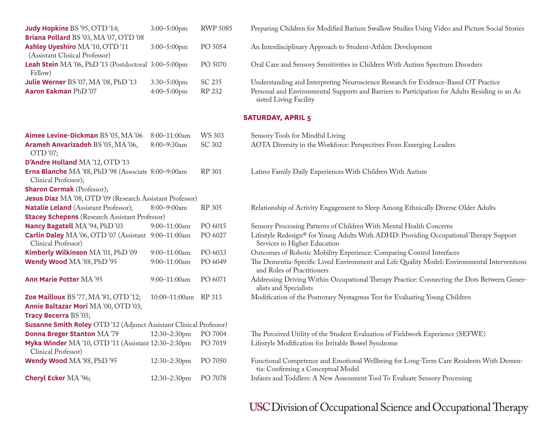| <b>Judy Hopkins BS '95, OTD '14;</b>                              | $3:00-5:00$ pm | <b>RWP 5085</b> | Preparing Children for Modified Barium Swallow Studies Using Video and Picture Social Stories                            |
|-------------------------------------------------------------------|----------------|-----------------|--------------------------------------------------------------------------------------------------------------------------|
| Briana Pollard BS'03, MA'07, OTD'08                               |                |                 |                                                                                                                          |
| Ashley Uyeshiro MA '10, OTD '11<br>(Assistant Clinical Professor) | $3:00-5:00$ pm | PO 5054         | An Interdisciplinary Approach to Student-Athlete Development                                                             |
| Leah Stein MA '06, PhD '13 (Postdoctoral 3:00-5:00pm<br>Fellow)   |                | PO 5070         | Oral Care and Sensory Sensitivities in Children With Autism Spectrum Disorders                                           |
| Julie Werner BS'07, MA'08, PhD'13                                 | $3:30-5:00$ pm | SC 235          | Understanding and Interpreting Neuroscience Research for Evidence-Based OT Practice                                      |
| Aaron Eakman PhD '07                                              | $4:00-5:00$ pm | RP 232          | Personal and Environmental Supports and Barriers to Participation for Adults Residing in an As<br>sisted Living Facility |

### **SATURDAY, APRIL 5**

| Aimee Levine-Dickman BS '05, MA '06                                         | 8:00-11:00am         | <b>WS 303</b> | Sensory Tools for Mindful Living                                                                                             |  |  |
|-----------------------------------------------------------------------------|----------------------|---------------|------------------------------------------------------------------------------------------------------------------------------|--|--|
| Arameh Anvarizadeh BS'05, MA'06,                                            | 8:00-9:30am          | SC 302        | AOTA Diversity in the Workforce: Perspectives From Emerging Leaders                                                          |  |  |
| OTD'07;                                                                     |                      |               |                                                                                                                              |  |  |
| D'Andre Holland MA '12, OTD '13                                             |                      |               |                                                                                                                              |  |  |
| Erna Blanche MA'88, PhD'98 (Associate 8:00-9:00am                           |                      | RP 301        | Latino Family Daily Experiences With Children With Autism                                                                    |  |  |
| Clinical Professor);                                                        |                      |               |                                                                                                                              |  |  |
| <b>Sharon Cermak</b> (Professor);                                           |                      |               |                                                                                                                              |  |  |
| Jesus Diaz MA'08, OTD'09 (Research Assistant Professor)                     |                      |               |                                                                                                                              |  |  |
| <b>Natalie Leland</b> (Assistant Professor);                                | 8:00-9:00am          | RP 305        | Relationship of Activity Engagement to Sleep Among Ethnically Diverse Older Adults                                           |  |  |
| <b>Stacey Schepens</b> (Research Assistant Professor)                       |                      |               |                                                                                                                              |  |  |
| Nancy Bagatell MA '94, PhD '03                                              | 9:00-11:00am         | PO 6015       | Sensory Processing Patterns of Children With Mental Health Concerns                                                          |  |  |
| Carlin Daley MA '06, OTD '07 (Assistant 9:00-11:00am<br>Clinical Professor) |                      | PO 6027       | Lifestyle Redesign® for Young Adults With ADHD: Providing Occupational Therapy Support<br>Services in Higher Education       |  |  |
| Kimberly Wilkinson MA'01, PhD'09                                            | 9:00-11:00am         | PO 6033       | Outcomes of Robotic Mobility Experience: Comparing Control Interfaces                                                        |  |  |
| Wendy Wood MA '88, PhD '95                                                  | 9:00-11:00am         | PO 6049       | The Dementia-Specific Lived Environment and Life Quality Model: Environmental Interventions<br>and Roles of Practitioners    |  |  |
| <b>Ann Marie Potter MA '95</b>                                              | $9:00-11:00am$       | PO 6071       | Addressing Driving Within Occupational Therapy Practice: Connecting the Dots Between Gener-<br>alists and Specialists        |  |  |
| Zoe Mailloux BS '77, MA '81, OTD '12;                                       | 10:00-11:00am RP 313 |               | Modification of the Postrotary Nystagmus Test for Evaluating Young Children                                                  |  |  |
| Annie Baltazar Mori MA '00, OTD '03;                                        |                      |               |                                                                                                                              |  |  |
| Tracy Becerra BS '05;                                                       |                      |               |                                                                                                                              |  |  |
| <b>Susanne Smith Roley</b> OTD '12 (Adjunct Assistant Clinical Professor)   |                      |               |                                                                                                                              |  |  |
| <b>Donna Breger Stanton MA '79</b>                                          | 12:30-2:30pm         | PO 7004       | The Perceived Utility of the Student Evaluation of Fieldwork Experience (SEFWE)                                              |  |  |
| Myka Winder MA '10, OTD '11 (Assistant 12:30-2:30pm<br>Clinical Professor)  |                      | PO 7019       | Lifestyle Modification for Irritable Bowel Syndrome                                                                          |  |  |
| Wendy Wood MA'88, PhD'95                                                    | 12:30-2:30pm         | PO 7050       | Functional Competence and Emotional Wellbeing for Long-Term Care Residents With Demen-<br>tia: Confirming a Conceptual Model |  |  |
| <b>Cheryl Ecker MA '96;</b>                                                 | 12:30-2:30pm         | PO 7078       | Infants and Toddlers: A New Assessment Tool To Evaluate Sensory Processing                                                   |  |  |

## USC Division of Occupational Science and Occupational Therapy